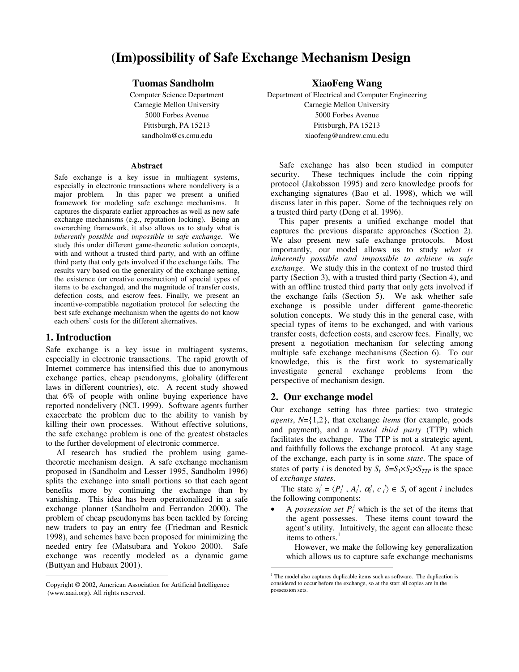# **(Im)possibility of Safe Exchange Mechanism Design**

# **Tuomas Sandholm**

Computer Science Department Carnegie Mellon University 5000 Forbes Avenue Pittsburgh, PA 15213 sandholm@cs.cmu.edu

#### **Abstract**

Safe exchange is a key issue in multiagent systems, especially in electronic transactions where nondelivery is a major problem. In this paper we present a unified framework for modeling safe exchange mechanisms. It captures the disparate earlier approaches as well as new safe exchange mechanisms (e.g., reputation locking). Being an overarching framework, it also allows us to study what is *inherently possible and impossible in safe exchange*. We study this under different game-theoretic solution concepts, with and without a trusted third party, and with an offline third party that only gets involved if the exchange fails. The results vary based on the generality of the exchange setting, the existence (or creative construction) of special types of items to be exchanged, and the magnitude of transfer costs, defection costs, and escrow fees. Finally, we present an incentive-compatible negotiation protocol for selecting the best safe exchange mechanism when the agents do not know each others' costs for the different alternatives.

## **1. Introduction**

Safe exchange is a key issue in multiagent systems, especially in electronic transactions. The rapid growth of Internet commerce has intensified this due to anonymous exchange parties, cheap pseudonyms, globality (different laws in different countries), etc. A recent study showed that 6% of people with online buying experience have reported nondelivery (NCL 1999). Software agents further exacerbate the problem due to the ability to vanish by killing their own processes. Without effective solutions, the safe exchange problem is one of the greatest obstacles to the further development of electronic commerce.

AI research has studied the problem using gametheoretic mechanism design. A safe exchange mechanism proposed in (Sandholm and Lesser 1995, Sandholm 1996) splits the exchange into small portions so that each agent benefits more by continuing the exchange than by vanishing. This idea has been operationalized in a safe exchange planner (Sandholm and Ferrandon 2000). The problem of cheap pseudonyms has been tackled by forcing new traders to pay an entry fee (Friedman and Resnick 1998), and schemes have been proposed for minimizing the needed entry fee (Matsubara and Yokoo 2000). Safe exchange was recently modeled as a dynamic game (Buttyan and Hubaux 2001).

**XiaoFeng Wang**

Department of Electrical and Computer Engineering Carnegie Mellon University 5000 Forbes Avenue Pittsburgh, PA 15213 xiaofeng@andrew.cmu.edu

Safe exchange has also been studied in computer security. These techniques include the coin ripping protocol (Jakobsson 1995) and zero knowledge proofs for exchanging signatures (Bao et al. 1998), which we will discuss later in this paper. Some of the techniques rely on a trusted third party (Deng et al. 1996).

This paper presents a unified exchange model that captures the previous disparate approaches (Section 2). We also present new safe exchange protocols. Most importantly, our model allows us to study *what is inherently possible and impossible to achieve in safe exchange*. We study this in the context of no trusted third party (Section 3), with a trusted third party (Section 4), and with an offline trusted third party that only gets involved if the exchange fails (Section 5). We ask whether safe exchange is possible under different game-theoretic solution concepts. We study this in the general case, with special types of items to be exchanged, and with various transfer costs, defection costs, and escrow fees. Finally, we present a negotiation mechanism for selecting among multiple safe exchange mechanisms (Section 6). To our knowledge, this is the first work to systematically investigate general exchange problems from the perspective of mechanism design.

# **2. Our exchange model**

Our exchange setting has three parties: two strategic *agents*, *N*={1,2}, that exchange *items* (for example, goods and payment), and a *trusted third party* (TTP) which facilitates the exchange. The TTP is not a strategic agent, and faithfully follows the exchange protocol. At any stage of the exchange, each party is in some *state*. The space of states of party *i* is denoted by  $S_i$ .  $S=S_1\times S_2\times S_{TTP}$  is the space of *exchange states*.

The state  $s_i^t = \langle P_i^t, A_i^t, \alpha_i^t, c_i^t \rangle \in S_i$  of agent *i* includes the following components:

• A *possession set*  $P_i^t$  which is the set of the items that the agent possesses. These items count toward the agent's utility. Intuitively, the agent can allocate these items to others.<sup>1</sup>

However, we make the following key generalization which allows us to capture safe exchange mechanisms

Copyright © 2002, American Association for Artificial Intelligence (www.aaai.org). All rights reserved.

 $1$  The model also captures duplicable items such as software. The duplication is considered to occur before the exchange, so at the start all copies are in the possession sets.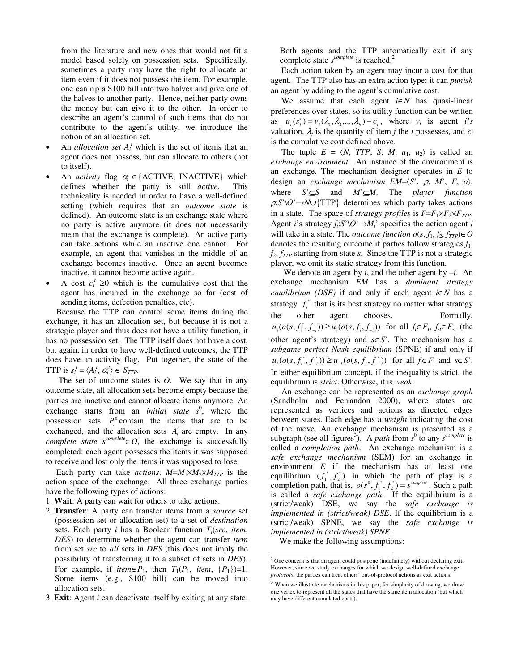from the literature and new ones that would not fit a model based solely on possession sets. Specifically, sometimes a party may have the right to allocate an item even if it does not possess the item. For example, one can rip a \$100 bill into two halves and give one of the halves to another party. Hence, neither party owns the money but can give it to the other. In order to describe an agent's control of such items that do not contribute to the agent's utility, we introduce the notion of an allocation set.

- An *allocation set*  $A_i^t$  which is the set of items that an agent does not possess, but can allocate to others (not to itself).
- An *activity* flag  $\alpha_i \in \{ACTIVE, INACTIVE\}$  which defines whether the party is still *active*. This defines whether the party is still *active*. technicality is needed in order to have a well-defined setting (which requires that an *outcome state* is defined). An outcome state is an exchange state where no party is active anymore (it does not necessarily mean that the exchange is complete). An active party can take actions while an inactive one cannot. For example, an agent that vanishes in the middle of an exchange becomes inactive. Once an agent becomes inactive, it cannot become active again.
- A cost  $c_i^t \geq 0$  which is the cumulative cost that the agent has incurred in the exchange so far (cost of sending items, defection penalties, etc).

Because the TTP can control some items during the exchange, it has an allocation set, but because it is not a strategic player and thus does not have a utility function, it has no possession set. The TTP itself does not have a cost, but again, in order to have well-defined outcomes, the TTP does have an activity flag. Put together, the state of the TTP is  $s_i^t = \langle A_i^t, \alpha_i^t \rangle \in S_{TTP}$ .

The set of outcome states is *O*. We say that in any outcome state, all allocation sets become empty because the parties are inactive and cannot allocate items anymore. An exchange starts from an *initial state*  $s^0$ , where the possession sets  $P_i^0$  contain the items that are to be exchanged, and the allocation sets  $A_i^0$  are empty. In any *complete state*  $s^{complete} \in O$ , the exchange is successfully completed: each agent possesses the items it was supposed to receive and lost only the items it was supposed to lose.

Each party can take *actions*.  $M=M_1\times M_2\times M_{TTP}$  is the action space of the exchange. All three exchange parties have the following types of actions:

1. **Wait**: A party can wait for others to take actions.

- 2. **Transfer**: A party can transfer items from a *source* set (possession set or allocation set) to a set of *destination* sets. Each party *i* has a Boolean function *Ti*(*src*, *item*, *DES*) to determine whether the agent can transfer *item* from set *src* to *all* sets in *DES* (this does not imply the possibility of transferring it to a subset of sets in *DES*). For example, if *item* $\in P_1$ , then  $T_1(P_1,$  *item*,  $\{P_1\}=1$ . Some items (e.g., \$100 bill) can be moved into allocation sets.
- 3. **Exit**: Agent *i* can deactivate itself by exiting at any state.

Both agents and the TTP automatically exit if any complete state *s*<sup>complete</sup> is reached.<sup>2</sup>

Each action taken by an agent may incur a cost for that agent. The TTP also has an extra action type: it can *punish* an agent by adding to the agent's cumulative cost.

We assume that each agent *i*∈*N* has quasi-linear preferences over states, so its utility function can be written as  $u_i(s_i^t) = v_i(\lambda_1, \lambda_2, ..., \lambda_k) - c_i$ , where  $v_i$  is agent *i's* valuation,  $\lambda_i$  is the quantity of item *j* the *i* possesses, and  $c_i$ is the cumulative cost defined above.

The tuple  $E = \langle N, TTP, S, M, u_1, u_2 \rangle$  is called an *exchange environment*. An instance of the environment is an exchange. The mechanism designer operates in *E* to design an *exchange mechanism EM*=〈*S*', <sup>ρ</sup>, *M*', *F*, *o*〉, where *S*'⊆*S* and *M*'⊆*M*. The *player function*  $\rho$ :*S*'\*O*' $\rightarrow$ *N* $\cup$ {TTP} determines which party takes actions in a state. The space of *strategy profiles* is  $F = F_1 \times F_2 \times F_{TTP}$ . Agent *i*'s strategy  $f_i$ : $S' \ O' \rightarrow M_i'$  specifies the action agent *i* will take in a state. The *outcome function*  $o(s, f_1, f_2, f_{TTP}) \in O$ denotes the resulting outcome if parties follow strategies *f*1,  $f_2$ ,  $f_{TTP}$  starting from state *s*. Since the TTP is not a strategic player, we omit its static strategy from this function.

We denote an agent by *i*, and the other agent by *–i*. An exchange mechanism *EM* has a *dominant strategy equilibrium (DSE)* if and only if each agent *i*∈*N* has a strategy  $f_i^*$  that is its best strategy no matter what strategy the other agent chooses. Formally,  $u_i(o(s, f_i^*, f_{-i})) \ge u_i(o(s, f_i, f_{-i}))$  for all  $f_i \in F_i$ ,  $f_i \in F_{-i}$  (the other agent's strategy) and *s*∈*S*'. The mechanism has a *subgame perfect Nash equilibrium* (SPNE) if and only if  $u_i(o(s, f_i^*, f_{-i}^*)) \ge u_{-i}(o(s, f_i, f_{-i}^*))$  for all  $f_i \in F_i$  and  $s \in S$ . In either equilibrium concept, if the inequality is strict, the equilibrium is *strict*. Otherwise, it is *weak*.

An exchange can be represented as an *exchange graph* (Sandholm and Ferrandon 2000), where states are represented as vertices and actions as directed edges between states. Each edge has a *weight* indicating the cost of the move. An exchange mechanism is presented as a subgraph (see all figures<sup>3</sup>). A *path* from  $s^0$  to any  $s^{complete}$  is called a *completion path*. An exchange mechanism is a *safe exchange mechanism* (SEM) for an exchange in environment *E* if the mechanism has at least one equilibrium  $(f_1^*, f_2^*)$  in which the path of play is a completion path, that is,  $o(s^0, f_1^*, f_2^*) = s^{complete}$ . Such a path is called a *safe exchange path*. If the equilibrium is a (strict/weak) DSE, we say the *safe exchange is implemented in (strict/weak) DSE*. If the equilibrium is a (strict/weak) SPNE, we say the *safe exchange is implemented in (strict/weak) SPNE*.

We make the following assumptions:

<sup>2</sup> One concern is that an agent could postpone (indefinitely) without declaring exit. However, since we study exchanges for which we design well-defined exchange *protocols*, the parties can treat others' out-of-protocol actions as exit actions.

 $3$  When we illustrate mechanisms in this paper, for simplicity of drawing, we draw one vertex to represent all the states that have the same item allocation (but which may have different cumulated costs).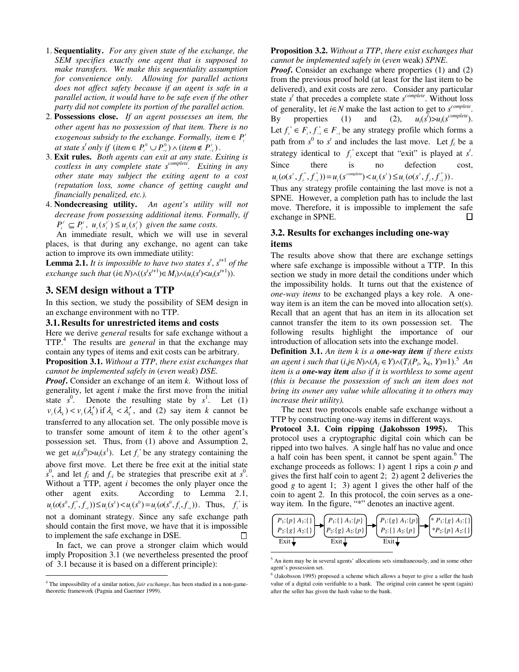- 1. **Sequentiality.** *For any given state of the exchange, the SEM specifies exactly one agent that is supposed to make transfers. We make this sequentiality assumption for convenience only. Allowing for parallel actions does not affect safety because if an agent is safe in a parallel action, it would have to be safe even if the other party did not complete its portion of the parallel action.*
- 2. **Possessions close.** *If an agent possesses an item, the other agent has no possession of that item. There is no exogenous subsidy to the exchange. Formally, item*  $\in$   $P_i^t$ *at state*  $s^t$  *only if* (*item* ∈  $P_i^0 \cup P_{-i}^0$ )  $\wedge$  (*item* ∉  $P_{-i}^t$ ).
- 3. **Exit rules.** *Both agents can exit at any state. Exiting is costless in any complete state scomplete. Exiting in any other state may subject the exiting agent to a cost (reputation loss, some chance of getting caught and financially penalized, etc.).*
- 4. **Nondecreasing utility.** *An agent's utility will not decrease from possessing additional items. Formally, if*  $P_i^r \subseteq P_i^t$ ,  $u_i(s_i^r) \leq u_i(s_i^r)$  given the same costs.

An immediate result, which we will use in several places, is that during any exchange, no agent can take action to improve its own immediate utility:

**Lemma 2.1.** It is impossible to have two states  $s^t$ ,  $s^{t+1}$  of the  $\ell$ *exchange such that*  $(i \in N) \wedge ((s^t s^{t+1}) \in M_i) \wedge (u_i(s^t) \le u_i(s^{t+1}))$ .

# **3. SEM design without a TTP**

In this section, we study the possibility of SEM design in an exchange environment with no TTP.

#### **3.1. Results for unrestricted items and costs**

Here we derive *general* results for safe exchange without a TTP.<sup>4</sup> The results are *general* in that the exchange may contain any types of items and exit costs can be arbitrary.

## **Proposition 3.1.** *Without a TTP*, *there exist exchanges that cannot be implemented safely in* (*even weak*) *DSE.*

*Proof***.** Consider an exchange of an item *k*. Without loss of generality, let agent *i* make the first move from the initial state  $s^0$ . Denote the resulting state by  $s^1$ . Let (1)  $v_i(\lambda_i) < v_i(\lambda'_i)$  if  $\lambda_i < \lambda'_i$ , and (2) say item *k* cannot be transferred to any allocation set. The only possible move is to transfer some amount of item *k* to the other agent's possession set. Thus, from (1) above and Assumption 2, we get  $u_i(s^0) > u_i(s^1)$ . Let  $f_i^*$  be any strategy containing the above first move. Let there be free exit at the initial state  $s^0$ , and let  $f_i$  and  $f_{-i}$  be strategies that prescribe exit at  $s^0$ . Without a TTP, agent *i* becomes the only player once the other agent exits. According to Lemma 2.1,  $u_i(o(s^0, f_i^*, f_{-i})) \le u_i(s^1) < u_i(s^0) = u_i(o(s^0, f_i, f_{-i}))$ . Thus,  $f_i^*$  is not a dominant strategy. Since any safe exchange path should contain the first move, we have that it is impossible to implement the safe exchange in DSE. П

In fact, we can prove a stronger claim which would imply Proposition 3.1 (we nevertheless presented the proof of 3.1 because it is based on a different principle):

**Proposition 3.2.** *Without a TTP*, *there exist exchanges that cannot be implemented safely in* (*even* weak) *SPNE*.

*Proof***.** Consider an exchange where properties (1) and (2) from the previous proof hold (at least for the last item to be delivered), and exit costs are zero. Consider any particular state *s*<sup>t</sup> that precedes a complete state *s*<sup>complete</sup>. Without loss of generality, let *i*∈*N* make the last action to get to  $s^{complete}$ . By properties (1) and (2),  $\overline{u}$  $\geq u_i(s^{complete}).$ Let  $f_i^* \in F_i$ ,  $f_{-i}^* \in F_{-i}$  be any strategy profile which forms a path from  $s^0$  to  $s^t$  and includes the last move. Let  $f_i$  be a strategy identical to  $f_i^*$  except that "exit" is played at  $s^t$ . Since there is no defection cost,  $u_i(o(s', f_i^*, f_{-i}^*)) = u_i(s^{complete}) < u_i(s') \leq u_i(o(s', f_i, f_{-i}^*))$ .

Thus any strategy profile containing the last move is not a SPNE. However, a completion path has to include the last move. Therefore, it is impossible to implement the safe  $\Box$ exchange in SPNE.

# **3.2. Results for exchanges including one-way items**

The results above show that there are exchange settings where safe exchange is impossible without a TTP. In this section we study in more detail the conditions under which the impossibility holds. It turns out that the existence of *one-way items* to be exchanged plays a key role. A oneway item is an item the can be moved into allocation set(s). Recall that an agent that has an item in its allocation set cannot transfer the item to its own possession set. The following results highlight the importance of our introduction of allocation sets into the exchange model.

**Definition 3.1.** *An item k is a one-way item if there exists an agent i such that*  $(i,j \in N) \land (A_i \in Y) \land (T_i(P_i, \lambda_k, Y)=1)$ .<sup>5</sup> *An item is a one-way item also if it is worthless to some agent (this is because the possession of such an item does not bring its owner any value while allocating it to others may increase their utility).*

The next two protocols enable safe exchange without a TTP by constructing one-way items in different ways.

**Protocol 3.1. Coin ripping (Jakobsson 1995).** This protocol uses a cryptographic digital coin which can be ripped into two halves. A single half has no value and once a half coin has been spent, it cannot be spent again.<sup>6</sup> The exchange proceeds as follows: 1) agent 1 rips a coin *p* and gives the first half coin to agent 2; 2) agent 2 deliveries the good *g* to agent 1; 3) agent 1 gives the other half of the coin to agent 2. In this protocol, the coin serves as a oneway item. In the figure, "\*" denotes an inactive agent.



<sup>5</sup> An item may be in several agents' allocations sets simultaneously, and in some other agent's possession set.

<sup>4</sup> The impossibility of a similar notion, *fair exchange*, has been studied in a non-gametheoretic framework (Pagnia and Gaertner 1999).

<sup>6</sup> (Jakobsson 1995) proposed a scheme which allows a buyer to give a seller the hash value of a digital coin verifiable to a bank. The original coin cannot be spent (again) after the seller has given the hash value to the bank.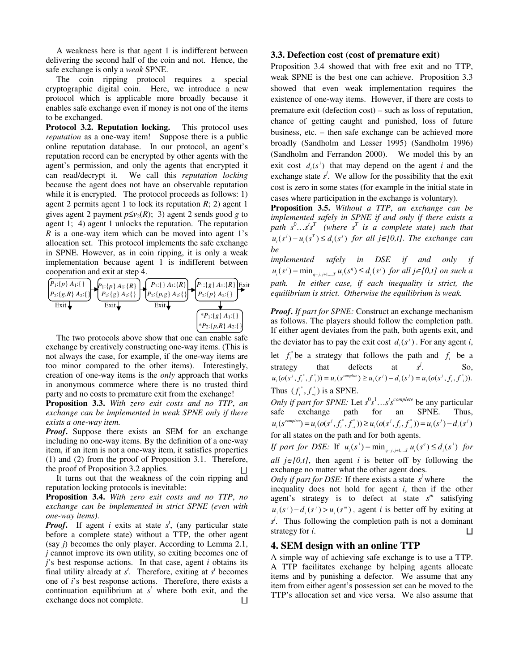A weakness here is that agent 1 is indifferent between delivering the second half of the coin and not. Hence, the safe exchange is only a *weak* SPNE.

The coin ripping protocol requires a special cryptographic digital coin. Here, we introduce a new protocol which is applicable more broadly because it enables safe exchange even if money is not one of the items to be exchanged.

**Protocol 3.2. Reputation locking.** This protocol uses *reputation* as a one-way item! Suppose there is a public online reputation database. In our protocol, an agent's reputation record can be encrypted by other agents with the agent's permission, and only the agents that encrypted it can read/decrypt it. We call this *reputation locking* because the agent does not have an observable reputation while it is encrypted. The protocol proceeds as follows: 1) agent 2 permits agent 1 to lock its reputation *R*; 2) agent 1 gives agent 2 payment  $p \le v_2(R)$ ; 3) agent 2 sends good *g* to agent 1; 4) agent 1 unlocks the reputation. The reputation *R* is a one-way item which can be moved into agent 1's allocation set. This protocol implements the safe exchange in SPNE. However, as in coin ripping, it is only a weak implementation because agent 1 is indifferent between cooperation and exit at step 4.



The two protocols above show that one can enable safe exchange by creatively constructing one-way items. (This is not always the case, for example, if the one-way items are too minor compared to the other items). Interestingly, creation of one-way items is the *only* approach that works in anonymous commerce where there is no trusted third party and no costs to premature exit from the exchange!

**Proposition 3.3.** *With zero exit costs and no TTP*, *an exchange can be implemented in weak SPNE only if there exists a one-way item.*

*Proof***.** Suppose there exists an SEM for an exchange including no one-way items. By the definition of a one-way item, if an item is not a one-way item, it satisfies properties (1) and (2) from the proof of Proposition 3.1. Therefore, the proof of Proposition 3.2 applies.

It turns out that the weakness of the coin ripping and reputation locking protocols is inevitable:

**Proposition 3.4.** *With zero exit costs and no TTP*, *no exchange can be implemented in strict SPNE (even with one-way items)*.

*Proof***.** If agent *i* exits at state *s t* , (any particular state before a complete state) without a TTP, the other agent (say *j*) becomes the only player. According to Lemma 2.1, *j* cannot improve its own utility, so exiting becomes one of *j*'s best response actions. In that case, agent *i* obtains its final utility already at  $s<sup>t</sup>$ . Therefore, exiting at  $s<sup>t</sup>$  becomes one of *i*'s best response actions. Therefore, there exists a continuation equilibrium at  $s<sup>t</sup>$  where both exit, and the exchange does not complete.  $\Box$ 

#### **3.3. Defection cost (cost of premature exit)**

Proposition 3.4 showed that with free exit and no TTP, weak SPNE is the best one can achieve. Proposition 3.3 showed that even weak implementation requires the existence of one-way items. However, if there are costs to premature exit (defection cost) – such as loss of reputation, chance of getting caught and punished, loss of future business, etc. – then safe exchange can be achieved more broadly (Sandholm and Lesser 1995) (Sandholm 1996) (Sandholm and Ferrandon 2000). We model this by an exit cost  $d_i(s^i)$  that may depend on the agent *i* and the exchange state  $s^j$ . We allow for the possibility that the exit cost is zero in some states (for example in the initial state in cases where participation in the exchange is voluntary).

**Proposition 3.5.** *Without a TTP*, *an exchange can be implemented safely in SPNE if and only if there exists a*  $path \simeq S^0...s^t s^T$  (where  $s^T$  *is a complete state) such that*  $u_i(s^i) - u_i(s^{\text{T}}) \leq d_i(s^i)$  for all  $j \in [0, t]$ . The exchange can *be*

*implemented safely in DSE if and only if*  $u_i(s^i)$  –  $\min_{q=j, j+1,\dots,T} u_i(s^q) \leq d_i(s^j)$  for all  $j \in [0, t]$  on such a *path. In either case, if each inequality is strict, the equilibrium is strict. Otherwise the equilibrium is weak.*

*Proof***.** *If part for SPNE:* Construct an exchange mechanism as follows. The players should follow the completion path. If either agent deviates from the path, both agents exit, and the deviator has to pay the exit cost  $d_i(s^i)$ . For any agent *i*,

let  $f_i^*$  be a strategy that follows the path and  $f_i$  be a strategy that defects at  $s^j$ . So,  $u_i(o(s^j, f_i^*, f_{-i}^*)) = u_i(s^{complete}) \ge u_i(s^j) - d_i(s^j) = u_i(o(s^j, f_i, f_{-i}^*))$ . Thus  $(f_i^*, f_{-i}^*)$  is a SPNE.

*Only if part for SPNE:* Let  $s^0 s^1 \dots s^t s^{complete}$  be any particular safe exchange path for an SPNE. Thus,  $u_i(s^{complete}) = u_i(o(s^j, f_i^*, f_{-i}^*)) \ge u_i(o(s^j, f_i, f_{-i}^*)) = u_i(s^j) - d_i(s^j)$ for all states on the path and for both agents.

*If part for DSE:* If  $u_i(s^i) - \min_{q = j, j+1, \dots, T} u_i(s^q) \leq d_i(s^j)$  for

*all j*∈ $[0,t]$ , then agent *i* is better off by following the exchange no matter what the other agent does.

*Only if part for DSE:* If there exists a state  $s^j$  where the inequality does not hold for agent *i*, then if the other agent's strategy is to defect at state *s <sup>m</sup>* satisfying  $u_i(s^j) - d_i(s^j) > u_i(s^m)$ , agent *i* is better off by exiting at *s*<sup>*j*</sup>. Thus following the completion path is not a dominant strategy for *i*.  $\Box$ 

## **4. SEM design with an online TTP**

A simple way of achieving safe exchange is to use a TTP. A TTP facilitates exchange by helping agents allocate items and by punishing a defector. We assume that any item from either agent's possession set can be moved to the TTP's allocation set and vice versa. We also assume that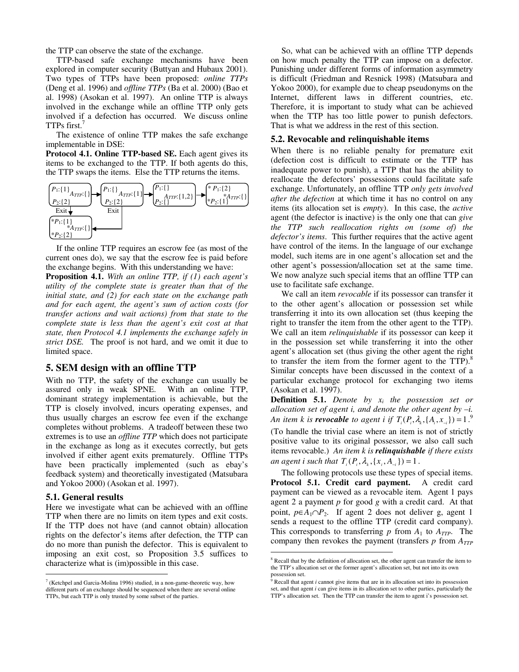the TTP can observe the state of the exchange.

TTP-based safe exchange mechanisms have been explored in computer security (Buttyan and Hubaux 2001). Two types of TTPs have been proposed: *online TTPs* (Deng et al. 1996) and *offline TTPs* (Ba et al. 2000) (Bao et al. 1998) (Asokan et al. 1997). An online TTP is always involved in the exchange while an offline TTP only gets involved if a defection has occurred. We discuss online TTPs first.<sup>7</sup>

The existence of online TTP makes the safe exchange implementable in DSE:

**Protocol 4.1. Online TTP-based SE.** Each agent gives its items to be exchanged to the TTP. If both agents do this, the TTP swaps the items. Else the TTP returns the items.



If the online TTP requires an escrow fee (as most of the current ones do), we say that the escrow fee is paid before the exchange begins. With this understanding we have:

**Proposition 4.1.** *With an online TTP, if (1) each agent's utility of the complete state is greater than that of the initial state, and (2) for each state on the exchange path and for each agent, the agent's sum of action costs (for transfer actions and wait actions) from that state to the complete state is less than the agent's exit cost at that state, then Protocol 4.1 implements the exchange safely in strict DSE.* The proof is not hard, and we omit it due to limited space.

## **5. SEM design with an offline TTP**

With no TTP, the safety of the exchange can usually be assured only in weak SPNE. With an online TTP, dominant strategy implementation is achievable, but the TTP is closely involved, incurs operating expenses, and thus usually charges an escrow fee even if the exchange completes without problems. A tradeoff between these two extremes is to use an *offline TTP* which does not participate in the exchange as long as it executes correctly, but gets involved if either agent exits prematurely. Offline TTPs have been practically implemented (such as ebay's feedback system) and theoretically investigated (Matsubara and Yokoo 2000) (Asokan et al. 1997).

#### **5.1. General results**

Here we investigate what can be achieved with an offline TTP when there are no limits on item types and exit costs. If the TTP does not have (and cannot obtain) allocation rights on the defector's items after defection, the TTP can do no more than punish the defector. This is equivalent to imposing an exit cost, so Proposition 3.5 suffices to characterize what is (im)possible in this case.

So, what can be achieved with an offline TTP depends on how much penalty the TTP can impose on a defector. Punishing under different forms of information asymmetry is difficult (Friedman and Resnick 1998) (Matsubara and Yokoo 2000), for example due to cheap pseudonyms on the Internet, different laws in different countries, etc. Therefore, it is important to study what can be achieved when the TTP has too little power to punish defectors. That is what we address in the rest of this section.

#### **5.2. Revocable and relinquishable items**

When there is no reliable penalty for premature exit (defection cost is difficult to estimate or the TTP has inadequate power to punish), a TTP that has the ability to reallocate the defectors' possessions could facilitate safe exchange. Unfortunately, an offline TTP *only gets involved after the defection* at which time it has no control on any items (its allocation set is *empty*). In this case, the *active* agent (the defector is inactive) is the only one that can *give the TTP such reallocation rights on (some of) the defector's items*. This further requires that the active agent have control of the items. In the language of our exchange model, such items are in one agent's allocation set and the other agent's possession/allocation set at the same time. We now analyze such special items that an offline TTP can use to facilitate safe exchange.

We call an item *revocable* if its possessor can transfer it to the other agent's allocation or possession set while transferring it into its own allocation set (thus keeping the right to transfer the item from the other agent to the TTP). We call an item *relinquishable* if its possessor can keep it in the possession set while transferring it into the other agent's allocation set (thus giving the other agent the right to transfer the item from the former agent to the  $TTP$ .<sup>8</sup> Similar concepts have been discussed in the context of a particular exchange protocol for exchanging two items (Asokan et al. 1997).

**Definition 5.1.** *Denote by xi the possession set or allocation set of agent i, and denote the other agent by –i. An item k is revocable to agent i if*  $T_i(P_i, \lambda_k, \{A_i, x_{-i}\}) = 1$ . (To handle the trivial case where an item is not of strictly positive value to its original possessor, we also call such items revocable.) *An item k is relinquishable if there exists an agent i such that*  $T_i(P_i, \lambda_k, \{x_i, A_{-i}\}) = 1$ .

The following protocols use these types of special items. **Protocol 5.1. Credit card payment.** A credit card payment can be viewed as a revocable item. Agent 1 pays agent 2 a payment *p* for good *g* with a credit card. At that point,  $p \in A_1 \cap P_2$ . If agent 2 does not deliver g, agent 1 sends a request to the offline TTP (credit card company). This corresponds to transferring  $p$  from  $A_1$  to  $A_{TTP}$ . The company then revokes the payment (transfers  $p$  from  $A_{TTP}$ 

<sup>7</sup> (Ketchpel and Garcia-Molina 1996) studied, in a non-game-theoretic way, how different parts of an exchange should be sequenced when there are several online TTPs, but each TTP is only trusted by some subset of the parties.

<sup>&</sup>lt;sup>8</sup> Recall that by the definition of allocation set, the other agent can transfer the item to the TTP's allocation set or the former agent's allocation set, but not into its own possession set.

<sup>9</sup> Recall that agent *i* cannot give items that are in its allocation set into its possession set, and that agent *i* can give items in its allocation set to other parties, particularly the TTP's allocation set. Then the TTP can transfer the item to agent i's possession set.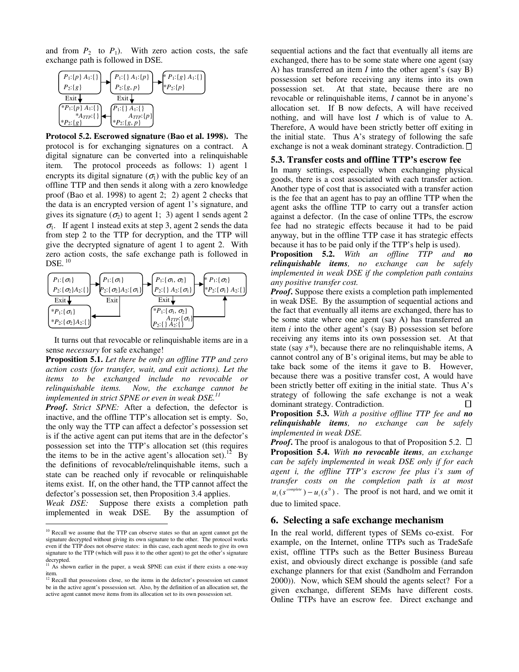and from  $P_2$  to  $P_1$ ). With zero action costs, the safe exchange path is followed in DSE.



**Protocol 5.2. Escrowed signature (Bao et al. 1998).** The protocol is for exchanging signatures on a contract. A digital signature can be converted into a relinquishable item. The protocol proceeds as follows: 1) agent 1 encrypts its digital signature  $(\sigma_1)$  with the public key of an offline TTP and then sends it along with a zero knowledge proof (Bao et al. 1998) to agent 2; 2) agent 2 checks that the data is an encrypted version of agent 1's signature, and gives its signature  $(\sigma_2)$  to agent 1; 3) agent 1 sends agent 2  $\sigma_1$ . If agent 1 instead exits at step 3, agent 2 sends the data from step 2 to the TTP for decryption, and the TTP will give the decrypted signature of agent 1 to agent 2. With zero action costs, the safe exchange path is followed in  $\rm{DSE.}$   $^{10}$ 



It turns out that revocable or relinquishable items are in a sense *necessary* for safe exchange!

**Proposition 5.1.** *Let there be only an offline TTP and zero action costs (for transfer, wait, and exit actions). Let the items to be exchanged include no revocable or relinquishable items. Now, the exchange cannot be implemented in strict SPNE or even in weak DSE.11*

*Proof***.** *Strict SPNE:* After a defection, the defector is inactive, and the offline TTP's allocation set is empty. So, the only way the TTP can affect a defector's possession set is if the active agent can put items that are in the defector's possession set into the TTP's allocation set (this requires the items to be in the active agent's allocation set).<sup>12</sup> By the definitions of revocable/relinquishable items, such a state can be reached only if revocable or relinquishable items exist. If, on the other hand, the TTP cannot affect the defector's possession set, then Proposition 3.4 applies.

*Weak DSE:* Suppose there exists a completion path implemented in weak DSE. By the assumption of

sequential actions and the fact that eventually all items are exchanged, there has to be some state where one agent (say A) has transferred an item *I* into the other agent's (say B) possession set before receiving any items into its own possession set. At that state, because there are no revocable or relinquishable items, *I* cannot be in anyone's allocation set. If B now defects, A will have received nothing, and will have lost *I* which is of value to A. Therefore, A would have been strictly better off exiting in the initial state. Thus A's strategy of following the safe exchange is not a weak dominant strategy. Contradiction.  $\Box$ 

#### **5.3. Transfer costs and offline TTP's escrow fee**

In many settings, especially when exchanging physical goods, there is a cost associated with each transfer action. Another type of cost that is associated with a transfer action is the fee that an agent has to pay an offline TTP when the agent asks the offline TTP to carry out a transfer action against a defector. (In the case of online TTPs, the escrow fee had no strategic effects because it had to be paid anyway, but in the offline TTP case it has strategic effects because it has to be paid only if the TTP's help is used).

**Proposition 5.2.** *With an offline TTP and no relinquishable items, no exchange can be safely implemented in weak DSE if the completion path contains any positive transfer cost.*

*Proof***.** Suppose there exists a completion path implemented in weak DSE. By the assumption of sequential actions and the fact that eventually all items are exchanged, there has to be some state where one agent (say A) has transferred an item *i* into the other agent's (say B) possession set before receiving any items into its own possession set. At that state (say *s\**), because there are no relinquishable items, A cannot control any of B's original items, but may be able to take back some of the items it gave to B. However, because there was a positive transfer cost, A would have been strictly better off exiting in the initial state. Thus A's strategy of following the safe exchange is not a weak dominant strategy. Contradiction. П.

**Proposition 5.3.** *With a positive offline TTP fee and no relinquishable items, no exchange can be safely implemented in weak DSE.*

*Proof.* The proof is analogous to that of Proposition 5.2.  $\Box$ **Proposition 5.4.** *With no revocable items, an exchange can be safely implemented in weak DSE only if for each agent i, the offline TTP's escrow fee plus i's sum of transfer costs on the completion path is at most*  $u_i(s^{complete}) - u_i(s^0)$ . The proof is not hard, and we omit it due to limited space.

#### **6. Selecting a safe exchange mechanism**

In the real world, different types of SEMs co-exist. For example, on the Internet, online TTPs such as TradeSafe exist, offline TTPs such as the Better Business Bureau exist, and obviously direct exchange is possible (and safe exchange planners for that exist (Sandholm and Ferrandon 2000)). Now, which SEM should the agents select? For a given exchange, different SEMs have different costs. Online TTPs have an escrow fee. Direct exchange and

<sup>&</sup>lt;sup>10</sup> Recall we assume that the TTP can observe states so that an agent cannot get the signature decrypted without giving its own signature to the other. The protocol works even if the TTP does not observe states: in this case, each agent needs to give its own signature to the TTP (which will pass it to the other agent) to get the other's signature decrypted.

 $11$  As shown earlier in the paper, a weak SPNE can exist if there exists a one-way item.

<sup>&</sup>lt;sup>12</sup> Recall that possessions close, so the items in the defector's possession set cannot be in the active agent's possession set. Also, by the definition of an allocation set, the active agent cannot move items from its allocation set to its own possession set.